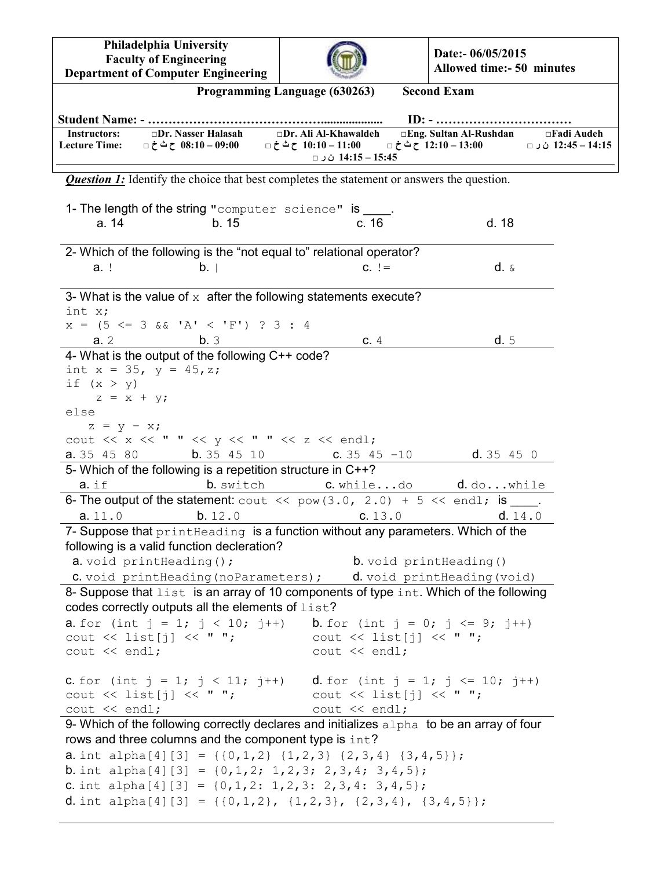**Philadelphia University Faculty of Engineering Department of Computer Engineering**



**Date:- 06/05/2015 Allowed time:- 50 minutes**

|                                                                        |                                                                                                                                                            | Programming Language (630263)                                                                                         | <b>Second Exam</b>                                                                                           |  |
|------------------------------------------------------------------------|------------------------------------------------------------------------------------------------------------------------------------------------------------|-----------------------------------------------------------------------------------------------------------------------|--------------------------------------------------------------------------------------------------------------|--|
|                                                                        |                                                                                                                                                            |                                                                                                                       |                                                                                                              |  |
| <b>Instructors:</b><br><b>Lecture Time:</b>                            | $\square$ Dr. Nasser Halasah $\square$ Dr. Ali Al-Khawaldeh<br>99:00 − 30:00 ح ٹ خ □                                                                       | 14:15 – 14:15 ن ر □                                                                                                   | □Eng. Sultan Al-Rushdan □Fadi Audeh<br>12:45 – 12:45 ن ر □ 0:10 – 12:10 – 12:10 ح ث خ □ 0:10 – 11:00 ح ث خ □ |  |
|                                                                        |                                                                                                                                                            | <b>Question 1:</b> Identify the choice that best completes the statement or answers the question.                     |                                                                                                              |  |
|                                                                        | 1- The length of the string "computer science" is ____.                                                                                                    |                                                                                                                       |                                                                                                              |  |
| a. 14                                                                  | b.15                                                                                                                                                       | c. 16                                                                                                                 | d. 18                                                                                                        |  |
|                                                                        |                                                                                                                                                            | 2- Which of the following is the "not equal to" relational operator?                                                  |                                                                                                              |  |
| a. !                                                                   | b.                                                                                                                                                         | $C. \ \ \vdots$                                                                                                       | $d. \&$                                                                                                      |  |
|                                                                        |                                                                                                                                                            |                                                                                                                       |                                                                                                              |  |
|                                                                        |                                                                                                                                                            | 3- What is the value of $x$ after the following statements execute?                                                   |                                                                                                              |  |
| int x;                                                                 |                                                                                                                                                            |                                                                                                                       |                                                                                                              |  |
|                                                                        | $x = (5 \le 3 \& 1 \& 1 \le 'F')$ ? 3 : 4                                                                                                                  |                                                                                                                       |                                                                                                              |  |
| a.2                                                                    | b.3                                                                                                                                                        | c.4                                                                                                                   | d.5                                                                                                          |  |
|                                                                        | 4- What is the output of the following C++ code?<br>int $x = 35$ , $y = 45$ , z;                                                                           |                                                                                                                       |                                                                                                              |  |
| if $(x > y)$                                                           |                                                                                                                                                            |                                                                                                                       |                                                                                                              |  |
| $z = x + y;$                                                           |                                                                                                                                                            |                                                                                                                       |                                                                                                              |  |
| else                                                                   |                                                                                                                                                            |                                                                                                                       |                                                                                                              |  |
| $z = y - x;$                                                           |                                                                                                                                                            |                                                                                                                       |                                                                                                              |  |
|                                                                        | cout $\langle \langle x \rangle \langle x \rangle \langle x \rangle$ " $\langle x \rangle \langle x \rangle$ " $\langle x \rangle \langle x \rangle$ endl; |                                                                                                                       |                                                                                                              |  |
| <b>a.</b> 35 45 80                                                     | b.354510                                                                                                                                                   | $C. 35 45 - 10$                                                                                                       | d.35450                                                                                                      |  |
|                                                                        | 5- Which of the following is a repetition structure in C++?                                                                                                |                                                                                                                       |                                                                                                              |  |
| $a.$ if                                                                |                                                                                                                                                            | b. switch c. whiledo d. dowhile<br>6- The output of the statement: cout $\ll$ pow (3.0, 2.0) + 5 $\ll$ endl; is ____. |                                                                                                              |  |
| a.11.0                                                                 | b.12.0                                                                                                                                                     | C. 13.0                                                                                                               | d. 14.0                                                                                                      |  |
|                                                                        |                                                                                                                                                            | 7- Suppose that print Heading is a function without any parameters. Which of the                                      |                                                                                                              |  |
|                                                                        | following is a valid function decleration?                                                                                                                 |                                                                                                                       |                                                                                                              |  |
|                                                                        | a. void printHeading () ;                                                                                                                                  | <b>b.</b> void print Heading ()                                                                                       |                                                                                                              |  |
|                                                                        |                                                                                                                                                            | <b>C</b> . void printHeading (noParameters) ; d. void printHeading (void)                                             |                                                                                                              |  |
|                                                                        |                                                                                                                                                            | 8- Suppose that list is an array of 10 components of type int. Which of the following                                 |                                                                                                              |  |
|                                                                        | codes correctly outputs all the elements of list?                                                                                                          |                                                                                                                       |                                                                                                              |  |
|                                                                        |                                                                                                                                                            | <b>a.</b> for (int $j = 1$ ; $j < 10$ ; $j^{++}$ ) <b>b.</b> for (int $j = 0$ ; $j \leq 9$ ; $j^{++}$ )               |                                                                                                              |  |
|                                                                        |                                                                                                                                                            | cout $\langle \langle$ list[j] $\langle \langle$ " "; cout $\langle \langle$ list[j] $\langle \langle$ " ";           |                                                                                                              |  |
| $\text{cut} \ll \text{endl}$ ;                                         |                                                                                                                                                            | cout << endl;                                                                                                         |                                                                                                              |  |
|                                                                        |                                                                                                                                                            | <b>c.</b> for (int j = 1; j < 11; j++) <b>d.</b> for (int j = 1; j <= 10; j++)                                        |                                                                                                              |  |
|                                                                        |                                                                                                                                                            | cout << list[j] << " "; cout << list[j] << " ";                                                                       |                                                                                                              |  |
| $\cot \lt\lt \end{math}$                                               |                                                                                                                                                            | cout << endl;                                                                                                         |                                                                                                              |  |
|                                                                        |                                                                                                                                                            | 9- Which of the following correctly declares and initializes alpha to be an array of four                             |                                                                                                              |  |
|                                                                        | rows and three columns and the component type is int?                                                                                                      |                                                                                                                       |                                                                                                              |  |
|                                                                        |                                                                                                                                                            | <b>a</b> . int alpha[4][3] = {{0,1,2} {1,2,3} {2,3,4} {3,4,5}};                                                       |                                                                                                              |  |
| <b>b</b> . int alpha[4][3] = $\{0, 1, 2; 1, 2, 3; 2, 3, 4; 3, 4, 5\};$ |                                                                                                                                                            |                                                                                                                       |                                                                                                              |  |
|                                                                        |                                                                                                                                                            | <b>C.</b> int alpha[4][3] = $\{0, 1, 2: 1, 2, 3: 2, 3, 4: 3, 4, 5\}$ ;                                                |                                                                                                              |  |
| <b>d</b> . int alpha[4][3] = {{0,1,2}, {1,2,3}, {2,3,4}, {3,4,5}};     |                                                                                                                                                            |                                                                                                                       |                                                                                                              |  |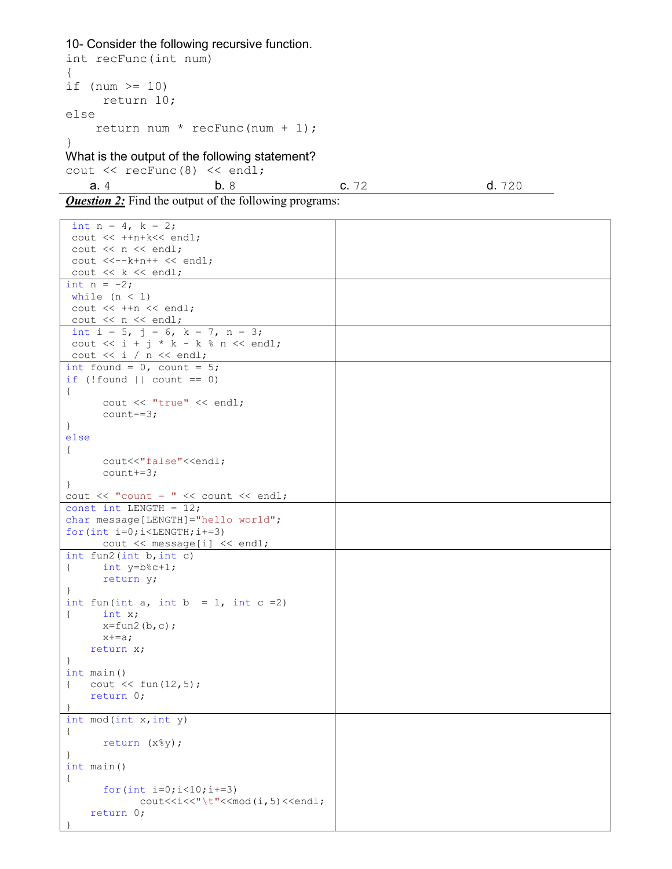## 10- Consider the following recursive function.

```
int recFunc(int num) 
{ 
if (num >= 10)
     return 10; 
else 
    return num * recFunc(num + 1); 
} 
What is the output of the following statement? 
cout << recFunc(8) << endl;
  a. 4 b. 8 c. 72 d. 720
```
**Question 2:** Find the output of the following programs:

| int $n = 4$ , $k = 2$ ;                                                      |  |
|------------------------------------------------------------------------------|--|
| cout << ++n+k<< endl;                                                        |  |
| cout $<< n <<$ endl;                                                         |  |
| $\text{cut}$ <<-- $k+n++$ << endl;                                           |  |
| cout $<< k <<$ endl;                                                         |  |
| int $n = -2$ ;                                                               |  |
| while $(n < 1)$                                                              |  |
| cout $<< +fn << end1$ ;                                                      |  |
| cout $<< n << end1$ ;                                                        |  |
| int i = 5, j = 6, k = 7, n = 3;                                              |  |
| cout $\lt\lt i + j * k - k * n \lt\lt{endl}$ ;                               |  |
| cout $<< i / n << end1$ ;                                                    |  |
| int found = $0$ , count = $5$ ;                                              |  |
| if $(!found    count == 0)$                                                  |  |
| $\left\{ \right.$                                                            |  |
| cout << "true" << endl;                                                      |  |
| $count==3;$                                                                  |  |
| $\}$                                                                         |  |
| else                                                                         |  |
| $\{$                                                                         |  |
| cout<<"false"< <endl;< td=""><td></td></endl;<>                              |  |
| $count+=3;$                                                                  |  |
| $\mathbf{F}$                                                                 |  |
| cout $\lt\lt$ "count = " $\lt\lt$ count $\lt\lt$ endl;                       |  |
| const int LENGTH = $12$ ;                                                    |  |
| char message [LENGTH] = "hello world";                                       |  |
| for $(int i=0; i$                                                            |  |
| $\text{cut} \ll \text{message}[i] \ll \text{end}$ ;                          |  |
| int $fun2(int b, int c)$                                                     |  |
| int $y=b$ <sup>8</sup> c+1;<br>$\left\{ \right.$                             |  |
| return y;                                                                    |  |
| $\mathcal{F}$                                                                |  |
| int fun(int a, int b = 1, int c = 2)                                         |  |
| $\left\{ \quad \right.$<br>int x;                                            |  |
| $x=fun2(b,c);$                                                               |  |
| $x+=a;$                                                                      |  |
| return x;                                                                    |  |
| $\cdot$<br>$int \text{main}()$                                               |  |
| $\text{cut} \ll \text{fun}(12,5)$ ;                                          |  |
| $\left\{$                                                                    |  |
| return $0$ ;<br>$\mathbb{R}$                                                 |  |
| int mod(int x, int y)                                                        |  |
| $\left\{ \right.$                                                            |  |
| return (x%y);                                                                |  |
| ł.                                                                           |  |
| $int \text{main}()$                                                          |  |
| $\{$                                                                         |  |
| for $(int i=0; i<10; i+=3)$                                                  |  |
| cout< <i<<"\t"<<mod(i,5)<<endl;< td=""><td></td></i<<"\t"<<mod(i,5)<<endl;<> |  |
| return 0;                                                                    |  |
|                                                                              |  |
|                                                                              |  |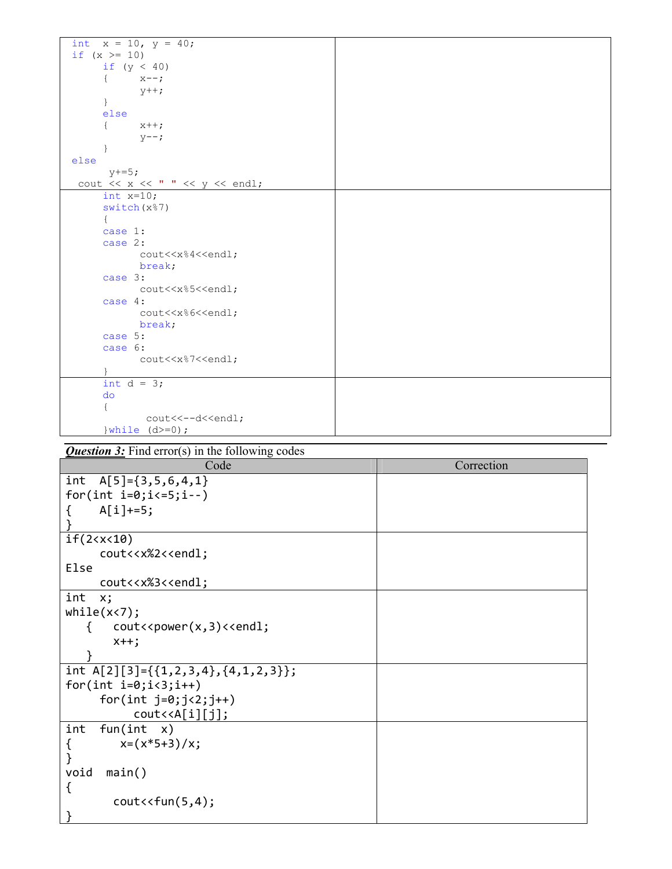| int $x = 10$ , $y = 40$ ;                                              |  |
|------------------------------------------------------------------------|--|
| if $(x > = 10)$                                                        |  |
| if $(y < 40)$                                                          |  |
| $x--;$<br>€                                                            |  |
| $y++;$                                                                 |  |
| $\big\}$                                                               |  |
| else                                                                   |  |
| $x++;$<br>$\left\{ \right.$                                            |  |
| $y--;$                                                                 |  |
| ł                                                                      |  |
| else                                                                   |  |
| $y+=5;$                                                                |  |
| cout $\langle x \times x \rangle$ " $\langle x \times y \rangle$ and : |  |
| int $x=10$ ;                                                           |  |
| switch (x%7)                                                           |  |
| €                                                                      |  |
| case 1:                                                                |  |
| case 2:                                                                |  |
| cout< <x%4<<endl;< th=""><th></th></x%4<<endl;<>                       |  |
| break;                                                                 |  |
| case 3:                                                                |  |
| cout< <x%5<<endl;< th=""><th></th></x%5<<endl;<>                       |  |
| case 4:                                                                |  |
| cout< <x%6<<endl;< th=""><th></th></x%6<<endl;<>                       |  |
| break;                                                                 |  |
| case 5:                                                                |  |
| case 6:                                                                |  |
| cout< <x%7<<endl;< th=""><th></th></x%7<<endl;<>                       |  |
|                                                                        |  |
| int $d = 3$ ;                                                          |  |
| do                                                                     |  |
|                                                                        |  |
| cout<<--d< <endl;< th=""><th></th></endl;<>                            |  |
| $\}$ while $(d>=0)$ ;                                                  |  |

## **Question 3:** Find error(s) in the following codes

| Code                                                           | Correction |
|----------------------------------------------------------------|------------|
| int<br>$A[5] = \{3, 5, 6, 4, 1\}$                              |            |
| for(int $i=0; i<=5; i--)$                                      |            |
| $A[i] += 5;$                                                   |            |
|                                                                |            |
| if(2 < x < 10)                                                 |            |
| cout< <x%2<<endl;< td=""><td></td></x%2<<endl;<>               |            |
| Else                                                           |            |
| cout< <x%3<<endl;< td=""><td></td></x%3<<endl;<>               |            |
| int<br>x;                                                      |            |
| while(x < 7);                                                  |            |
| cout< <power(x,3)<<endl;< td=""><td></td></power(x,3)<<endl;<> |            |
| $x++$ ;                                                        |            |
|                                                                |            |
| int A[2][3]={{1,2,3,4},{4,1,2,3}};                             |            |
| for(int $i=0; i<3; i++)$                                       |            |
| for(int $j=0; j<2; j++)$                                       |            |
| $\text{cout} \triangleleft \{ [i][j] \}$                       |            |
| fun(int x)<br>int                                              |            |
| $x=(x*5+3)/x;$                                                 |            |
|                                                                |            |
| void<br>main()                                                 |            |
| {                                                              |            |
| $cout \lt fun(5,4);$                                           |            |
| }                                                              |            |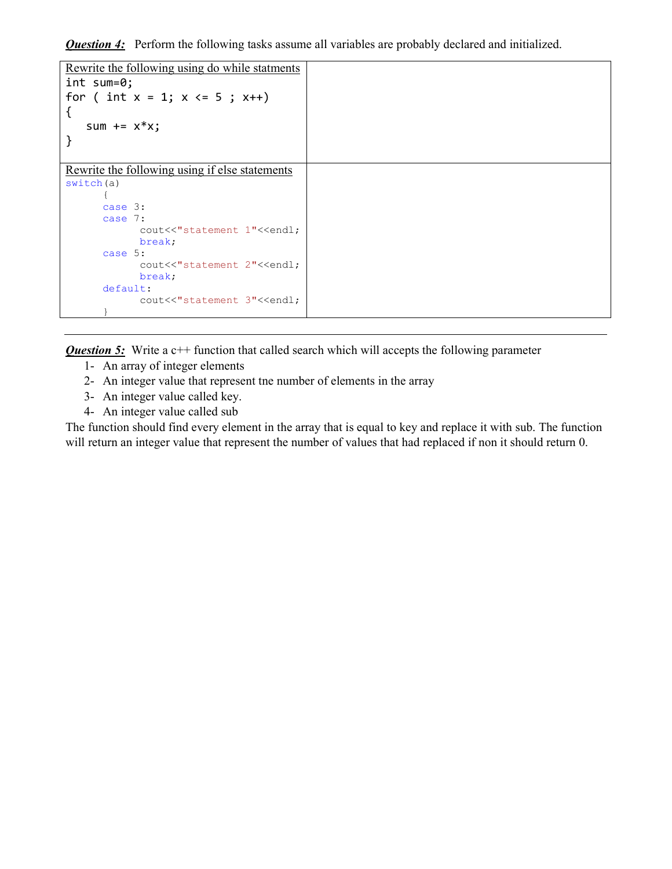**Question 4:** Perform the following tasks assume all variables are probably declared and initialized.

```
Rewrite the following using do while statments
int sum=0; 
for ( int x = 1; x \le 5; x++)
{ 
   sum += x * x;} 
Rewrite the following using if else statements
switch(a) 
       { 
      case 3: 
      case 7: 
            cout<<"statement 1"<<endl;
             break; 
      case 5: 
             cout<<"statement 2"<<endl;
              break; 
      default: 
             cout<<"statement 3"<<endl;
 }
```
**Question 5:** Write a c++ function that called search which will accepts the following parameter

- 1- An array of integer elements
- 2- An integer value that represent tne number of elements in the array
- 3- An integer value called key.
- 4- An integer value called sub

The function should find every element in the array that is equal to key and replace it with sub. The function will return an integer value that represent the number of values that had replaced if non it should return 0.